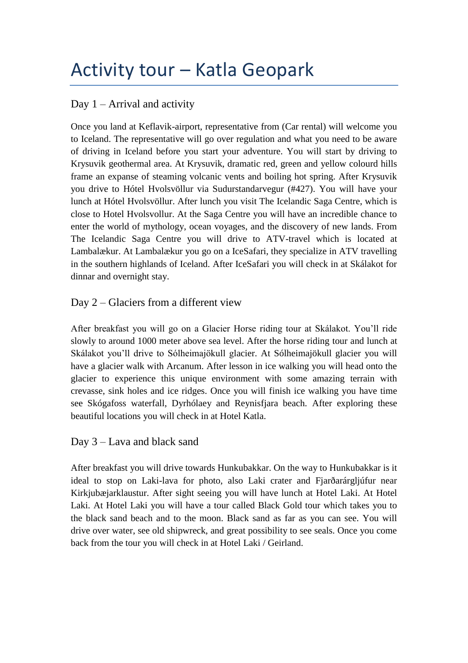# Activity tour – Katla Geopark

# Day  $1 -$  Arrival and activity

Once you land at Keflavik-airport, representative from (Car rental) will welcome you to Iceland. The representative will go over regulation and what you need to be aware of driving in Iceland before you start your adventure. You will start by driving to Krysuvik geothermal area. At Krysuvik, dramatic red, green and yellow colourd hills frame an expanse of steaming volcanic vents and boiling hot spring. After Krysuvik you drive to Hótel Hvolsvöllur via Sudurstandarvegur (#427). You will have your lunch at Hótel Hvolsvöllur. After lunch you visit The Icelandic Saga Centre, which is close to Hotel Hvolsvollur. At the Saga Centre you will have an incredible chance to enter the world of mythology, ocean voyages, and the discovery of new lands. From The Icelandic Saga Centre you will drive to ATV-travel which is located at Lambalækur. At Lambalækur you go on a IceSafari, they specialize in ATV travelling in the southern highlands of Iceland. After IceSafari you will check in at Skálakot for dinnar and overnight stay.

# Day 2 – Glaciers from a different view

After breakfast you will go on a Glacier Horse riding tour at Skálakot. You'll ride slowly to around 1000 meter above sea level. After the horse riding tour and lunch at Skálakot you'll drive to Sólheimajökull glacier. At Sólheimajökull glacier you will have a glacier walk with Arcanum. After lesson in ice walking you will head onto the glacier to experience this unique environment with some amazing terrain with crevasse, sink holes and ice ridges. Once you will finish ice walking you have time see Skógafoss waterfall, Dyrhólaey and Reynisfjara beach. After exploring these beautiful locations you will check in at Hotel Katla.

# Day 3 – Lava and black sand

After breakfast you will drive towards Hunkubakkar. On the way to Hunkubakkar is it ideal to stop on Laki-lava for photo, also Laki crater and Fjarðarárgljúfur near Kirkjubæjarklaustur. After sight seeing you will have lunch at Hotel Laki. At Hotel Laki. At Hotel Laki you will have a tour called Black Gold tour which takes you to the black sand beach and to the moon. Black sand as far as you can see. You will drive over water, see old shipwreck, and great possibility to see seals. Once you come back from the tour you will check in at Hotel Laki / Geirland.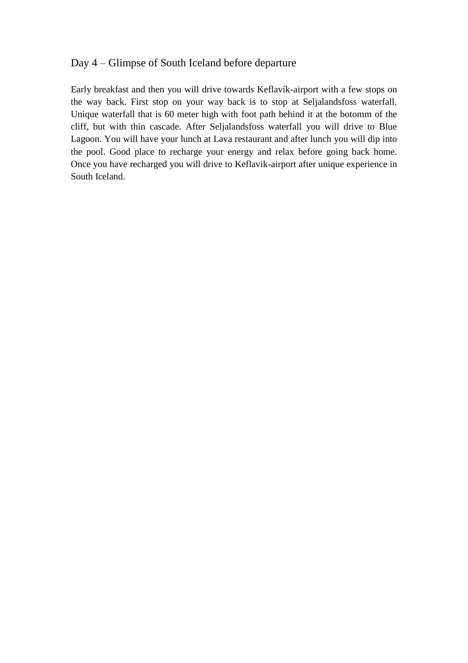## Day 4 – Glimpse of South Iceland before departure

Early breakfast and then you will drive towards Keflavík-airport with a few stops on the way back. First stop on your way back is to stop at Seljalandsfoss waterfall. Unique waterfall that is 60 meter high with foot path behind it at the botomm of the cliff, but with thin cascade. After Seljalandsfoss waterfall you will drive to Blue Lagoon. You will have your lunch at Lava restaurant and after lunch you will dip into the pool. Good place to recharge your energy and relax before going back home. Once you have recharged you will drive to Keflavik-airport after unique experience in South Iceland.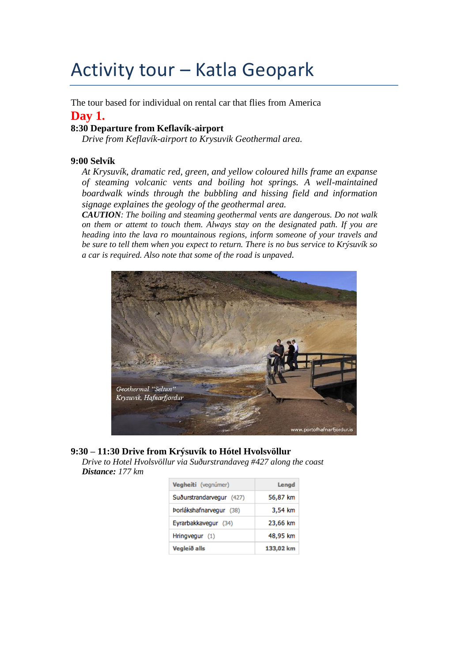# Activity tour – Katla Geopark

The tour based for individual on rental car that flies from America

## **Day 1.**

## **8:30 Departure from Keflavík-airport**

*Drive from Keflavík-airport to Krysuvik Geothermal area.* 

#### **9:00 Selvík**

*At Krysuvík, dramatic red, green, and yellow coloured hills frame an expanse of steaming volcanic vents and boiling hot springs. A well-maintained boardwalk winds through the bubbling and hissing field and information signage explaines the geology of the geothermal area.*

*CAUTION: The boiling and steaming geothermal vents are dangerous. Do not walk on them or attemt to touch them. Always stay on the designated path. If you are heading into the lava ro mountainous regions, inform someone of your travels and be sure to tell them when you expect to return. There is no bus service to Krýsuvík so a car is required. Also note that some of the road is unpaved.*



## **9:30 – 11:30 Drive from Krýsuvík to Hótel Hvolsvöllur**

*Drive to Hotel Hvolsvöllur via Suðurstrandaveg #427 along the coast Distance: 177 km*

| Vegheiti (vegnúmer)      | Lengd     |
|--------------------------|-----------|
| Suðurstrandarvegur (427) | 56,87 km  |
| Porlákshafnarvegur (38)  | 3,54 km   |
| Eyrarbakkavegur (34)     | 23,66 km  |
| Hringvegur (1)           | 48,95 km  |
| Vegleið alls             | 133,02 km |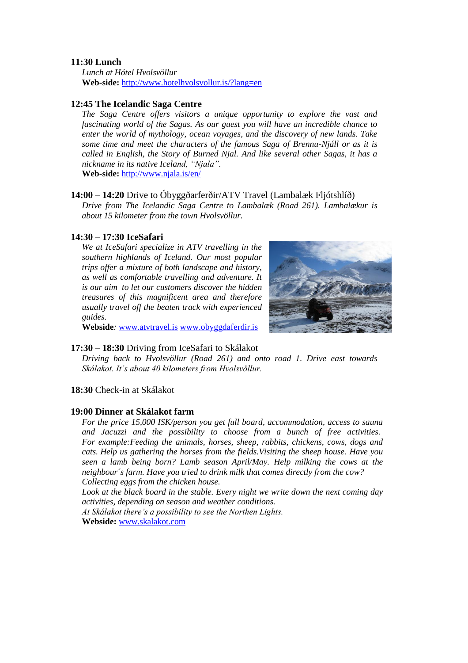#### **11:30 Lunch**

*Lunch at Hótel Hvolsvöllur* **Web-side:** <http://www.hotelhvolsvollur.is/?lang=en>

#### **12:45 The Icelandic Saga Centre**

*The Saga Centre offers visitors a unique opportunity to explore the vast and fascinating world of the Sagas. As our guest you will have an incredible chance to enter the world of mythology, ocean voyages, and the discovery of new lands. Take some time and meet the characters of the famous Saga of Brennu-Njáll or as it is called in English, the Story of Burned Njal. And like several other Sagas, it has a nickname in its native Iceland, "Njala".* **Web-side:** <http://www.njala.is/en/>

#### **14:00 – 14:20** Drive to Óbyggðarferðir/ATV Travel (Lambalæk Fljótshlíð)

*Drive from The Icelandic Saga Centre to Lambalæk (Road 261). Lambalækur is about 15 kilometer from the town Hvolsvöllur.* 

#### **14:30 – 17:30 IceSafari**

*We at IceSafari specialize in ATV travelling in the southern highlands of Iceland. Our most popular trips offer a mixture of both landscape and history, as well as comfortable travelling and adventure. It is our aim to let our customers discover the hidden treasures of this magnificent area and therefore usually travel off the beaten track with experienced guides.* 



**Webside***:* [www.atvtravel.is](http://www.atvtravel.is/) [www.obyggdaferdir.is](http://www.obyggdaferdir.is/)

#### **17:30 – 18:30** Driving from IceSafari to Skálakot

*Driving back to Hvolsvöllur (Road 261) and onto road 1. Drive east towards Skálakot. It's about 40 kilometers from Hvolsvöllur.*

#### **18:30** Check-in at Skálakot

#### **19:00 Dinner at Skálakot farm**

*For the price 15,000 ISK/person you get full board, accommodation, access to sauna and Jacuzzi and the possibility to choose from a bunch of free activities. For example:Feeding the animals, horses, sheep, rabbits, chickens, cows, dogs and cats. Help us gathering the horses from the fields.Visiting the sheep house. Have you seen a lamb being born? Lamb season April/May. Help milking the cows at the neighbour´s farm. Have you tried to drink milk that comes directly from the cow? Collecting eggs from the chicken house.*

*Look at the black board in the stable. Every night we write down the next coming day activities, depending on season and weather conditions.*

*At Skálakot there's a possibility to see the Northen Lights.* **Webside:** [www.skalakot.com](http://www.skalakot.com/)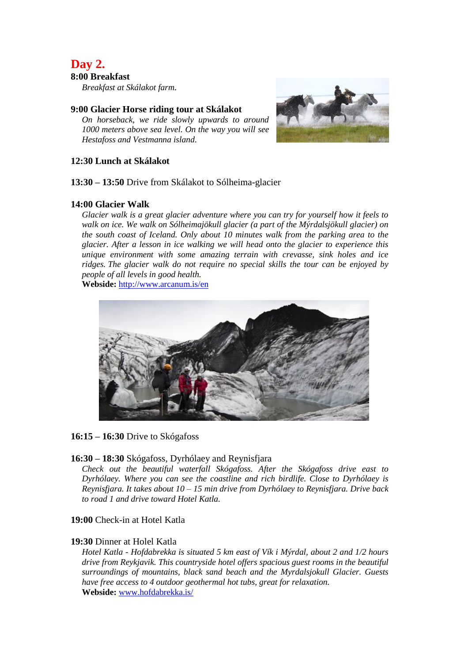# **Day 2.**

### **8:00 Breakfast**

*Breakfast at Skálakot farm.* 

#### **9:00 Glacier Horse riding tour at Skálakot**

*On horseback, we ride slowly upwards to around 1000 meters above sea level. On the way you will see Hestafoss and Vestmanna island.*



#### **12:30 Lunch at Skálakot**

**13:30 – 13:50** Drive from Skálakot to Sólheima-glacier

#### **14:00 Glacier Walk**

*Glacier walk is a great glacier adventure where you can try for yourself how it feels to walk on ice. We walk on Sólheimajökull glacier (a part of the Mýrdalsjökull glacier) on the south coast of Iceland. Only about 10 minutes walk from the parking area to the glacier. After a lesson in ice walking we will head onto the glacier to experience this unique environment with some amazing terrain with crevasse, sink holes and ice ridges. The glacier walk do not require no special skills the tour can be enjoyed by people of all levels in good health.*

**Webside:** <http://www.arcanum.is/en>



#### **16:15 – 16:30** Drive to Skógafoss

#### **16:30 – 18:30** Skógafoss, Dyrhólaey and Reynisfjara

*Check out the beautiful waterfall Skógafoss. After the Skógafoss drive east to Dyrhólaey. Where you can see the coastline and rich birdlife. Close to Dyrhólaey is Reynisfjara. It takes about 10 – 15 min drive from Dyrhólaey to Reynisfjara. Drive back to road 1 and drive toward Hotel Katla.*

#### **19:00** Check-in at Hotel Katla

#### **19:30** Dinner at Holel Katla

*Hotel Katla - Hofdabrekka is situated 5 km east of Vík i Mýrdal, about 2 and 1/2 hours drive from Reykjavik. This countryside hotel offers spacious guest rooms in the beautiful surroundings of mountains, black sand beach and the Myrdalsjokull Glacier. Guests have free access to 4 outdoor geothermal hot tubs, great for relaxation.* **Webside:** [www.hofdabrekka.is/](http://www.hofdabrekka.is/)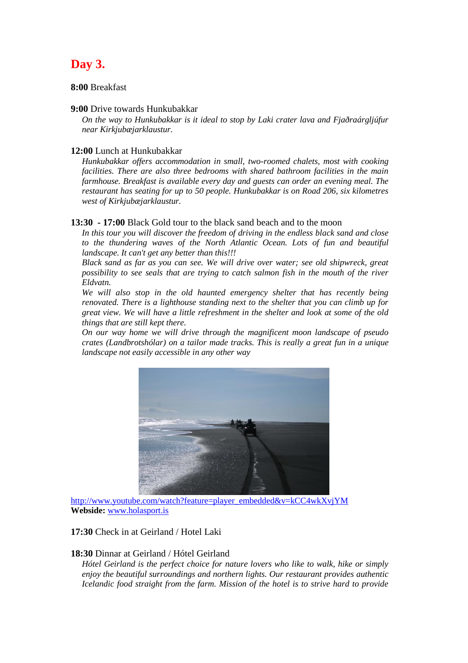# **Day 3.**

#### **8:00** Breakfast

#### **9:00** Drive towards Hunkubakkar

*On the way to Hunkubakkar is it ideal to stop by Laki crater lava and Fjaðraárgljúfur near Kirkjubæjarklaustur.*

#### **12:00** Lunch at Hunkubakkar

*Hunkubakkar offers accommodation in small, two-roomed chalets, most with cooking*  facilities. There are also three bedrooms with shared bathroom facilities in the main *farmhouse. Breakfast is available every day and guests can order an evening meal. The restaurant has seating for up to 50 people. Hunkubakkar is on Road 206, six kilometres west of Kirkjubæjarklaustur.*

**13:30 - 17:00** Black Gold tour to the black sand beach and to the moon

*In this tour you will discover the freedom of driving in the endless black sand and close*  to the thundering waves of the North Atlantic Ocean. Lots of fun and beautiful *landscape. It can't get any better than this!!!*

*Black sand as far as you can see. We will drive over water; see old shipwreck, great possibility to see seals that are trying to catch salmon fish in the mouth of the river Eldvatn.*

*We will also stop in the old haunted emergency shelter that has recently being renovated. There is a lighthouse standing next to the shelter that you can climb up for great view. We will have a little refreshment in the shelter and look at some of the old things that are still kept there.*

*On our way home we will drive through the magnificent moon landscape of pseudo crates (Landbrotshólar) on a tailor made tracks. This is really a great fun in a unique landscape not easily accessible in any other way*



[http://www.youtube.com/watch?feature=player\\_embedded&v=kCC4wkXvjYM](http://www.youtube.com/watch?feature=player_embedded&v=kCC4wkXvjYM) **Webside:** [www.holasport.is](http://www.holasport.is/)

**17:30** Check in at Geirland / Hotel Laki

#### **18:30** Dinnar at Geirland / Hótel Geirland

*Hótel Geirland is the perfect choice for nature lovers who like to walk, hike or simply enjoy the beautiful surroundings and northern lights. Our restaurant provides authentic Icelandic food straight from the farm. Mission of the hotel is to strive hard to provide*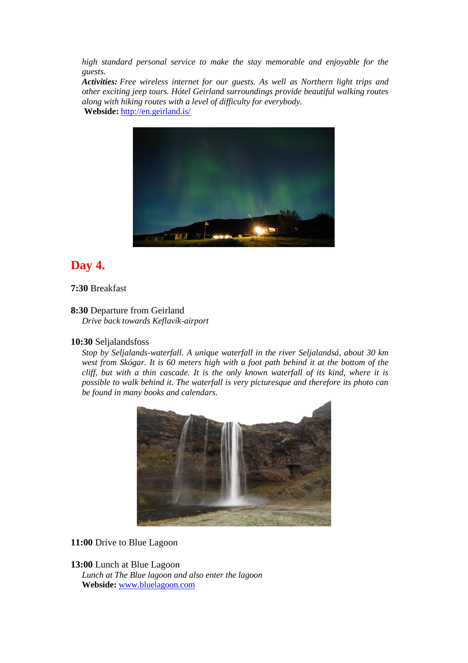*high standard personal service to make the stay memorable and enjoyable for the guests.*

*Activities: Free wireless internet for our guests. As well as Northern light trips and other exciting jeep tours. Hótel Geirland surroundings provide beautiful walking routes along with hiking routes with a level of difficulty for everybody.* **Webside:** <http://en.geirland.is/>



# **Day 4.**

#### **7:30** Breakfast

## **8:30** Departure from Geirland

*Drive back towards Keflavík-airport*

#### **10:30** Seljalandsfoss

*Stop by Seljalands-waterfall. A unique waterfall in the river Seljalandsá, about 30 km west from Skógar. It is 60 meters high with a foot path behind it at the bottom of the cliff, but with a thin cascade. It is the only known waterfall of its kind, where it is possible to walk behind it. The waterfall is very picturesque and therefore its photo can be found in many books and calendars.*



#### **11:00** Drive to Blue Lagoon

#### **13:00** Lunch at Blue Lagoon

*Lunch at The Blue lagoon and also enter the lagoon* **Webside:** [www.bluelagoon.com](http://www.bluelagoon.com/)